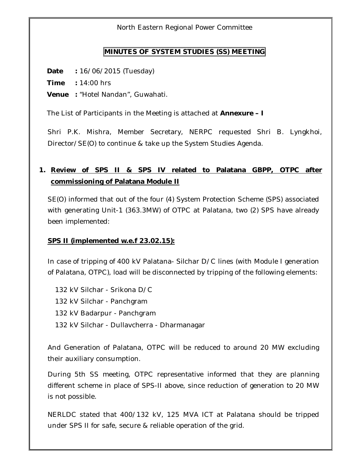North Eastern Regional Power Committee

#### **MINUTES OF SYSTEM STUDIES (SS) MEETING**

**Date :** 16/06/2015 (Tuesday)

**Time :** 14:00 hrs

**Venue :** "Hotel Nandan", Guwahati.

The List of Participants in the Meeting is attached at **Annexure – I**

Shri P.K. Mishra, Member Secretary, NERPC requested Shri B. Lyngkhoi, Director/SE(O) to continue & take up the System Studies Agenda.

# **1. Review of SPS II & SPS IV related to Palatana GBPP, OTPC after commissioning of Palatana Module II**

SE(O) informed that out of the four (4) System Protection Scheme (SPS) associated with generating Unit-1 (363.3MW) of OTPC at Palatana, two (2) SPS have already been implemented:

#### **SPS II (implemented w.e.f 23.02.15):**

In case of tripping of 400 kV Palatana- Silchar D/C lines (with Module I generation of Palatana, OTPC), load will be disconnected by tripping of the following elements:

132 kV Silchar - Srikona D/C 132 kV Silchar - Panchgram 132 kV Badarpur - Panchgram 132 kV Silchar - Dullavcherra - Dharmanagar

And Generation of Palatana, OTPC will be reduced to around 20 MW excluding their auxiliary consumption.

During 5th SS meeting, OTPC representative informed that they are planning different scheme in place of SPS-II above, since reduction of generation to 20 MW is not possible.

NERLDC stated that 400/132 kV, 125 MVA ICT at Palatana should be tripped under SPS II for safe, secure & reliable operation of the grid.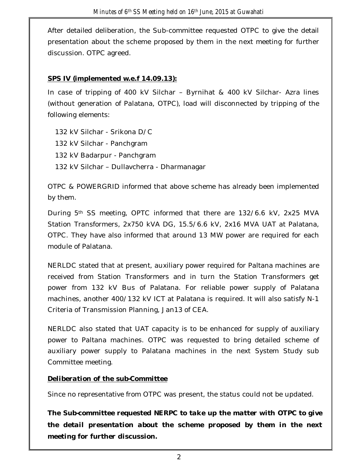After detailed deliberation, the Sub-committee requested OTPC to give the detail presentation about the scheme proposed by them in the next meeting for further discussion. OTPC agreed.

#### **SPS IV (implemented w.e.f 14.09.13):**

In case of tripping of 400 kV Silchar – Byrnihat & 400 kV Silchar- Azra lines (without generation of Palatana, OTPC), load will disconnected by tripping of the following elements:

132 kV Silchar - Srikona D/C

132 kV Silchar - Panchgram

132 kV Badarpur - Panchgram

132 kV Silchar – Dullavcherra - Dharmanagar

OTPC & POWERGRID informed that above scheme has already been implemented by them.

During 5th SS meeting, OPTC informed that there are 132/6.6 kV, 2x25 MVA Station Transformers, 2x750 kVA DG, 15.5/6.6 kV, 2x16 MVA UAT at Palatana, OTPC. They have also informed that around 13 MW power are required for each module of Palatana.

NERLDC stated that at present, auxiliary power required for Paltana machines are received from Station Transformers and in turn the Station Transformers get power from 132 kV Bus of Palatana. For reliable power supply of Palatana machines, another 400/132 kV ICT at Palatana is required. It will also satisfy N-1 Criteria of Transmission Planning, Jan13 of CEA.

NERLDC also stated that UAT capacity is to be enhanced for supply of auxiliary power to Paltana machines. OTPC was requested to bring detailed scheme of auxiliary power supply to Palatana machines in the next System Study sub Committee meeting.

#### *Deliberation of the sub-Committee*

Since no representative from OTPC was present, the status could not be updated.

*The Sub-committee requested NERPC to take up the matter with OTPC to give the detail presentation about the scheme proposed by them in the next meeting for further discussion.*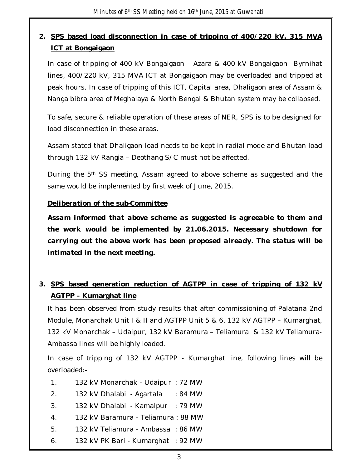# **2. SPS based load disconnection in case of tripping of 400/220 kV, 315 MVA ICT at Bongaigaon**

In case of tripping of 400 kV Bongaigaon – Azara & 400 kV Bongaigaon –Byrnihat lines, 400/220 kV, 315 MVA ICT at Bongaigaon may be overloaded and tripped at peak hours. In case of tripping of this ICT, Capital area, Dhaligaon area of Assam & Nangalbibra area of Meghalaya & North Bengal & Bhutan system may be collapsed.

To safe, secure & reliable operation of these areas of NER, SPS is to be designed for load disconnection in these areas.

Assam stated that Dhaligaon load needs to be kept in radial mode and Bhutan load through 132 kV Rangia – Deothang S/C must not be affected.

During the 5<sup>th</sup> SS meeting, Assam agreed to above scheme as suggested and the same would be implemented by first week of June, 2015.

#### *Deliberation of the sub-Committee*

*Assam informed that above scheme as suggested is agreeable to them and the work would be implemented by 21.06.2015. Necessary shutdown for carrying out the above work has been proposed already. The status will be intimated in the next meeting.*

# **3. SPS based generation reduction of AGTPP in case of tripping of 132 kV AGTPP – Kumarghat line**

It has been observed from study results that after commissioning of Palatana 2nd Module, Monarchak Unit I & II and AGTPP Unit 5 & 6, 132 kV AGTPP – Kumarghat, 132 kV Monarchak – Udaipur, 132 kV Baramura – Teliamura & 132 kV Teliamura-Ambassa lines will be highly loaded.

In case of tripping of 132 kV AGTPP - Kumarghat line, following lines will be overloaded:-

- 1. 132 kV Monarchak Udaipur : 72 MW
- 2. 132 kV Dhalabil Agartala : 84 MW
- 3. 132 kV Dhalabil Kamalpur : 79 MW
- 4. 132 kV Baramura Teliamura : 88 MW
- 5. 132 kV Teliamura Ambassa : 86 MW
- 6. 132 kV PK Bari Kumarghat : 92 MW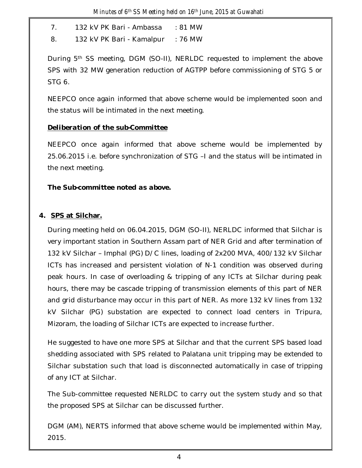7. 132 kV PK Bari - Ambassa : 81 MW

8. 132 kV PK Bari - Kamalpur : 76 MW

During 5th SS meeting, DGM (SO-II), NERLDC requested to implement the above SPS with 32 MW generation reduction of AGTPP before commissioning of STG 5 or STG 6.

NEEPCO once again informed that above scheme would be implemented soon and the status will be intimated in the next meeting.

#### *Deliberation of the sub-Committee*

NEEPCO once again informed that above scheme would be implemented by 25.06.2015 i.e. before synchronization of STG –I and the status will be intimated in the next meeting.

### *The Sub-committee noted as above.*

### **4. SPS at Silchar.**

During meeting held on 06.04.2015, DGM (SO-II), NERLDC informed that Silchar is very important station in Southern Assam part of NER Grid and after termination of 132 kV Silchar – Imphal (PG) D/C lines, loading of 2x200 MVA, 400/132 kV Silchar ICTs has increased and persistent violation of N-1 condition was observed during peak hours. In case of overloading & tripping of any ICTs at Silchar during peak hours, there may be cascade tripping of transmission elements of this part of NER and grid disturbance may occur in this part of NER. As more 132 kV lines from 132 kV Silchar (PG) substation are expected to connect load centers in Tripura, Mizoram, the loading of Silchar ICTs are expected to increase further.

He suggested to have one more SPS at Silchar and that the current SPS based load shedding associated with SPS related to Palatana unit tripping may be extended to Silchar substation such that load is disconnected automatically in case of tripping of any ICT at Silchar.

The Sub-committee requested NERLDC to carry out the system study and so that the proposed SPS at Silchar can be discussed further.

DGM (AM), NERTS informed that above scheme would be implemented within May, 2015.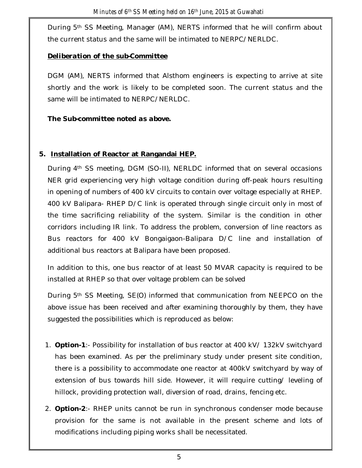During 5th SS Meeting, Manager (AM), NERTS informed that he will confirm about the current status and the same will be intimated to NERPC/NERLDC.

#### *Deliberation of the sub-Committee*

DGM (AM), NERTS informed that Alsthom engineers is expecting to arrive at site shortly and the work is likely to be completed soon. The current status and the same will be intimated to NERPC/NERLDC.

### *The Sub-committee noted as above.*

### **5. Installation of Reactor at Rangandai HEP.**

During 4th SS meeting, DGM (SO-II), NERLDC informed that on several occasions NER grid experiencing very high voltage condition during off-peak hours resulting in opening of numbers of 400 kV circuits to contain over voltage especially at RHEP. 400 kV Balipara- RHEP D/C link is operated through single circuit only in most of the time sacrificing reliability of the system. Similar is the condition in other corridors including IR link. To address the problem, conversion of line reactors as Bus reactors for 400 kV Bongaigaon-Balipara D/C line and installation of additional bus reactors at Balipara have been proposed.

In addition to this, one bus reactor of at least 50 MVAR capacity is required to be installed at RHEP so that over voltage problem can be solved

During 5th SS Meeting, SE(O) informed that communication from NEEPCO on the above issue has been received and after examining thoroughly by them, they have suggested the possibilities which is reproduced as below:

- 1. **Option-1**:- Possibility for installation of bus reactor at 400 kV/ 132kV switchyard has been examined. As per the preliminary study under present site condition, there is a possibility to accommodate one reactor at 400kV switchyard by way of extension of bus towards hill side. However, it will require cutting/ leveling of hillock, providing protection wall, diversion of road, drains, fencing etc.
- 2. **Option-2**:- RHEP units cannot be run in synchronous condenser mode because provision for the same is not available in the present scheme and lots of modifications including piping works shall be necessitated.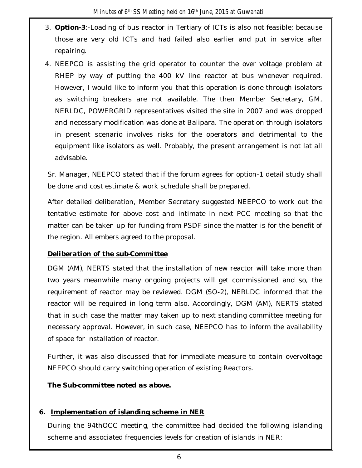- 3. **Option-3**:-Loading of bus reactor in Tertiary of ICTs is also not feasible; because those are very old ICTs and had failed also earlier and put in service after repairing.
- 4. NEEPCO is assisting the grid operator to counter the over voltage problem at RHEP by way of putting the 400 kV line reactor at bus whenever required. However, I would like to inform you that this operation is done through isolators as switching breakers are not available. The then Member Secretary, GM, NERLDC, POWERGRID representatives visited the site in 2007 and was dropped and necessary modification was done at Balipara. The operation through isolators in present scenario involves risks for the operators and detrimental to the equipment like isolators as well. Probably, the present arrangement is not lat all advisable.

Sr. Manager, NEEPCO stated that if the forum agrees for option-1 detail study shall be done and cost estimate & work schedule shall be prepared.

After detailed deliberation, Member Secretary suggested NEEPCO to work out the tentative estimate for above cost and intimate in next PCC meeting so that the matter can be taken up for funding from PSDF since the matter is for the benefit of the region. All embers agreed to the proposal.

#### *Deliberation of the sub-Committee*

DGM (AM), NERTS stated that the installation of new reactor will take more than two years meanwhile many ongoing projects will get commissioned and so, the requirement of reactor may be reviewed. DGM (SO-2), NERLDC informed that the reactor will be required in long term also. Accordingly, DGM (AM), NERTS stated that in such case the matter may taken up to next standing committee meeting for necessary approval. However, in such case, NEEPCO has to inform the availability of space for installation of reactor.

Further, it was also discussed that for immediate measure to contain overvoltage NEEPCO should carry switching operation of existing Reactors.

*The Sub-committee noted as above.*

#### **6. Implementation of islanding scheme in NER**

During the 94thOCC meeting, the committee had decided the following islanding scheme and associated frequencies levels for creation of islands in NER: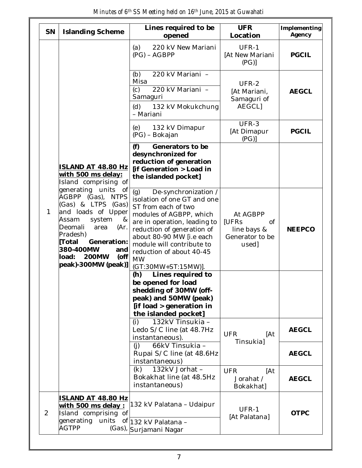| SN             | <b>Islanding Scheme</b>                                                                                                                                                                                                                                                                                                                   | Lines required to be<br>opened                                                                                                                                                                                                                                                                      | <b>UFR</b><br>Location                                                    | Implementing<br>Agency |
|----------------|-------------------------------------------------------------------------------------------------------------------------------------------------------------------------------------------------------------------------------------------------------------------------------------------------------------------------------------------|-----------------------------------------------------------------------------------------------------------------------------------------------------------------------------------------------------------------------------------------------------------------------------------------------------|---------------------------------------------------------------------------|------------------------|
|                | <b>ISLAND AT 48.80 Hz</b><br>with 500 ms delay:<br>Island comprising of<br>generating units<br>0f<br>AGBPP (Gas), NTPS<br>(Gas) & LTPS (Gas)<br>and loads of Upper<br>Assam<br>system<br>&<br>Deomali<br>area<br>(Ar.<br>Pradesh)<br>[Total<br>Generation:<br>380-400MW<br>and<br><b>200MW</b><br>load:<br>$($ off<br>peak)-300MW (peak)] | (a)<br>220 kV New Mariani<br>$(PG) - AGBPP$                                                                                                                                                                                                                                                         | UFR-1<br>[At New Mariani<br>(PG)                                          | <b>PGCIL</b>           |
|                |                                                                                                                                                                                                                                                                                                                                           | 220 kV Mariani -<br>(b)<br>Misa<br>220 kV Mariani -<br>(c)<br>Samaguri<br>(d)<br>132 kV Mokukchung                                                                                                                                                                                                  | UFR-2<br>[At Mariani,<br>Samaguri of<br><b>AEGCLI</b>                     | <b>AEGCL</b>           |
|                |                                                                                                                                                                                                                                                                                                                                           | - Mariani<br>132 kV Dimapur<br>(e)<br>(PG) - Bokajan                                                                                                                                                                                                                                                | UFR-3<br>[At Dimapur<br>(PG)                                              | <b>PGCIL</b>           |
|                |                                                                                                                                                                                                                                                                                                                                           | (f)<br>Generators to be<br>desynchronized for<br>reduction of generation<br>[if Generation > Load in<br>the islanded pocket]                                                                                                                                                                        |                                                                           |                        |
| 1              |                                                                                                                                                                                                                                                                                                                                           | De-synchronization /<br>(g)<br>isolation of one GT and one<br>ST from each of two<br>modules of AGBPP, which<br>are in operation, leading to<br>reduction of generation of<br>about 80-90 MW [i.e each<br>module will contribute to<br>reduction of about 40-45<br><b>MW</b><br>(GT:30MW+ST:15MW)]. | At AGBPP<br>[UFRs<br><b>of</b><br>line bays &<br>Generator to be<br>used] | <b>NEEPCO</b>          |
|                |                                                                                                                                                                                                                                                                                                                                           | Lines required to<br>(h)<br>be opened for load<br>shedding of 30MW (off-<br>peak) and 50MW (peak)<br>[if load > generation in<br>the islanded pocket]                                                                                                                                               |                                                                           |                        |
|                |                                                                                                                                                                                                                                                                                                                                           | 132kV Tinsukia -<br>(i)<br>Ledo S/C line (at 48.7Hz<br>instantaneous).                                                                                                                                                                                                                              | [At<br><b>UFR</b><br><b>Tinsukia</b> ]                                    | <b>AEGCL</b>           |
|                |                                                                                                                                                                                                                                                                                                                                           | 66kV Tinsukia -<br>(i)<br>Rupai S/C line (at 48.6Hz<br>instantaneous)                                                                                                                                                                                                                               |                                                                           | <b>AEGCL</b>           |
|                |                                                                                                                                                                                                                                                                                                                                           | 132kV Jorhat -<br>(k)<br>Bokakhat line (at 48.5Hz<br>instantaneous)                                                                                                                                                                                                                                 | <b>UFR</b><br>[At<br>Jorahat /<br>Bokakhat]                               | <b>AEGCL</b>           |
| $\overline{2}$ | ISLAND AT 48.80 Hz<br><u>with 500 ms delay :</u><br>Island comprising of<br>generating<br>units<br><b>AGTPP</b><br>$(Gas)$ ,                                                                                                                                                                                                              | 132 kV Palatana - Udaipur<br>of 132 kV Palatana -<br>Surjamani Nagar                                                                                                                                                                                                                                | UFR-1<br>[At Palatana]                                                    | <b>OTPC</b>            |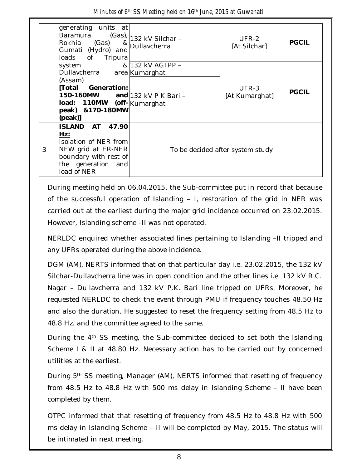| Minutes of 6 <sup>th</sup> SS Meeting held on 16 <sup>th</sup> June, 2015 at Guwahati |  |  |  |  |  |
|---------------------------------------------------------------------------------------|--|--|--|--|--|
|---------------------------------------------------------------------------------------|--|--|--|--|--|

|   | generating units at<br>Baramura<br>Rokhia (Gas)<br>8 <sub>l</sub><br>Gumati (Hydro) and<br>loads of<br>Tripura                                                         | $(Gas)$ , 132 kV Silchar -<br>Dullavcherra | UFR-2<br>[At Silchar]   | <b>PGCIL</b> |
|---|------------------------------------------------------------------------------------------------------------------------------------------------------------------------|--------------------------------------------|-------------------------|--------------|
|   | system<br>Dullavcherra area Kumarghat<br>(Assam)<br>[Total Generation:<br>150-160MW and 132 kV P K Bari -<br>load: 110MW (off-Kumarghat<br>peak) & 170-180MW<br>[peak] | & 132 kV AGTPP –                           | UFR-3<br>[At Kumarghat] | <b>PGCIL</b> |
| 3 | ISLAND AT<br>47.90<br>Hz:<br>Isolation of NER from<br>NEW grid at ER-NER<br>boundary with rest of<br>the generation and<br>load of NER                                 | To be decided after system study           |                         |              |

During meeting held on 06.04.2015, the Sub-committee put in record that because of the successful operation of Islanding – I, restoration of the grid in NER was carried out at the earliest during the major grid incidence occurred on 23.02.2015. However, Islanding scheme –II was not operated.

NERLDC enquired whether associated lines pertaining to Islanding –II tripped and any UFRs operated during the above incidence.

DGM (AM), NERTS informed that on that particular day i.e. 23.02.2015, the 132 kV Silchar-Dullavcherra line was in open condition and the other lines i.e. 132 kV R.C. Nagar – Dullavcherra and 132 kV P.K. Bari line tripped on UFRs. Moreover, he requested NERLDC to check the event through PMU if frequency touches 48.50 Hz and also the duration. He suggested to reset the frequency setting from 48.5 Hz to 48.8 Hz. and the committee agreed to the same.

During the 4<sup>th</sup> SS meeting, the Sub-committee decided to set both the Islanding Scheme I & II at 48.80 Hz. Necessary action has to be carried out by concerned utilities at the earliest.

During 5th SS meeting, Manager (AM), NERTS informed that resetting of frequency from 48.5 Hz to 48.8 Hz with 500 ms delay in Islanding Scheme – II have been completed by them.

OTPC informed that that resetting of frequency from 48.5 Hz to 48.8 Hz with 500 ms delay in Islanding Scheme – II will be completed by May, 2015. The status will be intimated in next meeting.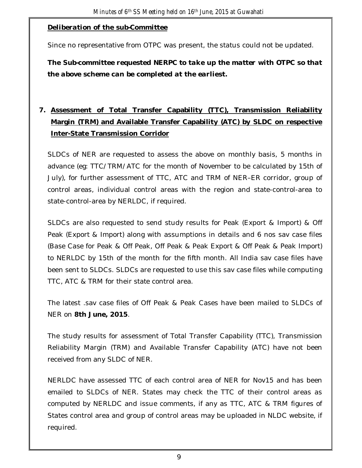#### *Deliberation of the sub-Committee*

Since no representative from OTPC was present, the status could not be updated.

*The Sub-committee requested NERPC to take up the matter with OTPC so that the above scheme can be completed at the earliest.*

# **7. Assessment of Total Transfer Capability (TTC), Transmission Reliability Margin (TRM) and Available Transfer Capability (ATC) by SLDC on respective Inter-State Transmission Corridor**

SLDCs of NER are requested to assess the above on monthly basis, 5 months in advance (eg: TTC/TRM/ATC for the month of November to be calculated by 15th of July), for further assessment of TTC, ATC and TRM of NER–ER corridor, group of control areas, individual control areas with the region and state-control-area to state-control-area by NERLDC, if required.

SLDCs are also requested to send study results for Peak (Export & Import) & Off Peak (Export & Import) along with assumptions in details and 6 nos sav case files (Base Case for Peak & Off Peak, Off Peak & Peak Export & Off Peak & Peak Import) to NERLDC by 15th of the month for the fifth month. All India sav case files have been sent to SLDCs. SLDCs are requested to use this sav case files while computing TTC, ATC & TRM for their state control area.

The latest .sav case files of Off Peak & Peak Cases have been mailed to SLDCs of NER on **8th June, 2015**.

The study results for assessment of Total Transfer Capability (TTC), Transmission Reliability Margin (TRM) and Available Transfer Capability (ATC) have not been received from any SLDC of NER.

NERLDC have assessed TTC of each control area of NER for Nov15 and has been emailed to SLDCs of NER. States may check the TTC of their control areas as computed by NERLDC and issue comments, if any as TTC, ATC & TRM figures of States control area and group of control areas may be uploaded in NLDC website, if required.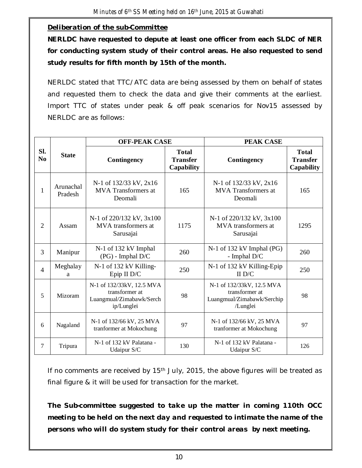#### *Deliberation of the sub-Committee*

**NERLDC have requested to depute at least one officer from each SLDC of NER for conducting system study of their control areas. He also requested to send study results for fifth month by 15th of the month.** 

NERLDC stated that TTC/ATC data are being assessed by them on behalf of states and requested them to check the data and give their comments at the earliest. Import TTC of states under peak & off peak scenarios for Nov15 assessed by NERLDC are as follows:

|                       | <b>State</b>         | <b>OFF-PEAK CASE</b>                                                                  |                                                      | <b>PEAK CASE</b>                                                                      |                                               |  |
|-----------------------|----------------------|---------------------------------------------------------------------------------------|------------------------------------------------------|---------------------------------------------------------------------------------------|-----------------------------------------------|--|
| SI.<br>N <sub>0</sub> |                      | Contingency                                                                           | <b>Total</b><br><b>Transfer</b><br><b>Capability</b> | Contingency                                                                           | <b>Total</b><br><b>Transfer</b><br>Capability |  |
| $\mathbf{1}$          | Arunachal<br>Pradesh | N-1 of 132/33 kV, 2x16<br><b>MVA</b> Transformers at<br>Deomali                       | 165                                                  | N-1 of 132/33 kV, 2x16<br><b>MVA</b> Transformers at<br>Deomali                       | 165                                           |  |
| $\overline{2}$        | Assam                | N-1 of 220/132 kV, 3x100<br>MVA transformers at<br>Sarusajai                          | 1175                                                 | N-1 of 220/132 kV, 3x100<br>MVA transformers at<br>Sarusajai                          | 1295                                          |  |
| 3                     | Manipur              | N-1 of 132 kV Imphal<br>$(PG)$ - Imphal $D/C$                                         | 260                                                  | N-1 of 132 kV Imphal (PG)<br>- Imphal $D/C$                                           | 260                                           |  |
| $\overline{4}$        | Meghalay<br>a        | N-1 of 132 kV Killing-<br>Epip II D/C                                                 | 250                                                  | N-1 of 132 kV Killing-Epip<br>II D/C                                                  | 250                                           |  |
| 5                     | Mizoram              | N-1 of 132/33kV, 12.5 MVA<br>transformer at<br>Luangmual/Zimabawk/Serch<br>ip/Lunglei | 98                                                   | N-1 of 132/33kV, 12.5 MVA<br>transformer at<br>Luangmual/Zimabawk/Serchip<br>/Lunglei | 98                                            |  |
| 6                     | Nagaland             | N-1 of 132/66 kV, 25 MVA<br>tranformer at Mokochung                                   | 97                                                   | N-1 of 132/66 kV, 25 MVA<br>97<br>tranformer at Mokochung                             |                                               |  |
| 7                     | Tripura              | N-1 of 132 kV Palatana -<br>Udaipur S/C                                               | 130                                                  | N-1 of 132 kV Palatana -<br>Udaipur S/C                                               | 126                                           |  |

If no comments are received by  $15<sup>th</sup>$  July, 2015, the above figures will be treated as final figure & it will be used for transaction for the market.

*The Sub-committee suggested to take up the matter in coming 110th OCC meeting to be held on the next day and requested to intimate the name of the persons who will do system study for their control areas by next meeting.*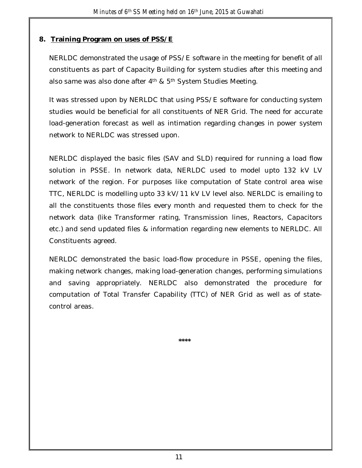### **8. Training Program on uses of PSS/E**

NERLDC demonstrated the usage of PSS/E software in the meeting for benefit of all constituents as part of Capacity Building for system studies after this meeting and also same was also done after 4<sup>th</sup> & 5<sup>th</sup> System Studies Meeting.

It was stressed upon by NERLDC that using PSS/E software for conducting system studies would be beneficial for all constituents of NER Grid. The need for accurate load-generation forecast as well as intimation regarding changes in power system network to NERLDC was stressed upon.

NERLDC displayed the basic files (SAV and SLD) required for running a load flow solution in PSSE. In network data, NERLDC used to model upto 132 kV LV network of the region. For purposes like computation of State control area wise TTC, NERLDC is modelling upto 33 kV/11 kV LV level also. NERLDC is emailing to all the constituents those files every month and requested them to check for the network data (like Transformer rating, Transmission lines, Reactors, Capacitors etc.) and send updated files & information regarding new elements to NERLDC. All Constituents agreed.

NERLDC demonstrated the basic load-flow procedure in PSSE, opening the files, making network changes, making load-generation changes, performing simulations and saving appropriately. NERLDC also demonstrated the procedure for computation of Total Transfer Capability (TTC) of NER Grid as well as of statecontrol areas.

**\*\*\*\***